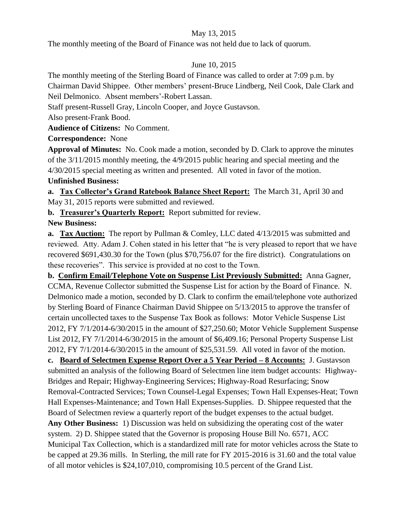## May 13, 2015

The monthly meeting of the Board of Finance was not held due to lack of quorum.

## June 10, 2015

The monthly meeting of the Sterling Board of Finance was called to order at 7:09 p.m. by

Chairman David Shippee. Other members' present-Bruce Lindberg, Neil Cook, Dale Clark and Neil Delmonico. Absent members'-Robert Lassan.

Staff present-Russell Gray, Lincoln Cooper, and Joyce Gustavson.

Also present-Frank Bood.

**Audience of Citizens:** No Comment.

**Correspondence:** None

**Approval of Minutes:** No. Cook made a motion, seconded by D. Clark to approve the minutes of the 3/11/2015 monthly meeting, the 4/9/2015 public hearing and special meeting and the 4/30/2015 special meeting as written and presented. All voted in favor of the motion.

## **Unfinished Business:**

**a. Tax Collector's Grand Ratebook Balance Sheet Report:** The March 31, April 30 and May 31, 2015 reports were submitted and reviewed.

**b. Treasurer's Quarterly Report:** Report submitted for review.

**New Business:** 

**a. Tax Auction:** The report by Pullman & Comley, LLC dated 4/13/2015 was submitted and reviewed. Atty. Adam J. Cohen stated in his letter that "he is very pleased to report that we have recovered \$691,430.30 for the Town (plus \$70,756.07 for the fire district). Congratulations on these recoveries". This service is provided at no cost to the Town.

**b. Confirm Email/Telephone Vote on Suspense List Previously Submitted:** Anna Gagner, CCMA, Revenue Collector submitted the Suspense List for action by the Board of Finance. N. Delmonico made a motion, seconded by D. Clark to confirm the email/telephone vote authorized by Sterling Board of Finance Chairman David Shippee on 5/13/2015 to approve the transfer of certain uncollected taxes to the Suspense Tax Book as follows: Motor Vehicle Suspense List 2012, FY 7/1/2014-6/30/2015 in the amount of \$27,250.60; Motor Vehicle Supplement Suspense List 2012, FY 7/1/2014-6/30/2015 in the amount of \$6,409.16; Personal Property Suspense List 2012, FY 7/1/2014-6/30/2015 in the amount of \$25,531.59. All voted in favor of the motion.

**c. Board of Selectmen Expense Report Over a 5 Year Period – 8 Accounts:** J. Gustavson submitted an analysis of the following Board of Selectmen line item budget accounts: Highway-Bridges and Repair; Highway-Engineering Services; Highway-Road Resurfacing; Snow Removal-Contracted Services; Town Counsel-Legal Expenses; Town Hall Expenses-Heat; Town Hall Expenses-Maintenance; and Town Hall Expenses-Supplies. D. Shippee requested that the Board of Selectmen review a quarterly report of the budget expenses to the actual budget.

**Any Other Business:** 1) Discussion was held on subsidizing the operating cost of the water system. 2) D. Shippee stated that the Governor is proposing House Bill No. 6571, ACC Municipal Tax Collection, which is a standardized mill rate for motor vehicles across the State to be capped at 29.36 mills. In Sterling, the mill rate for FY 2015-2016 is 31.60 and the total value of all motor vehicles is \$24,107,010, compromising 10.5 percent of the Grand List.